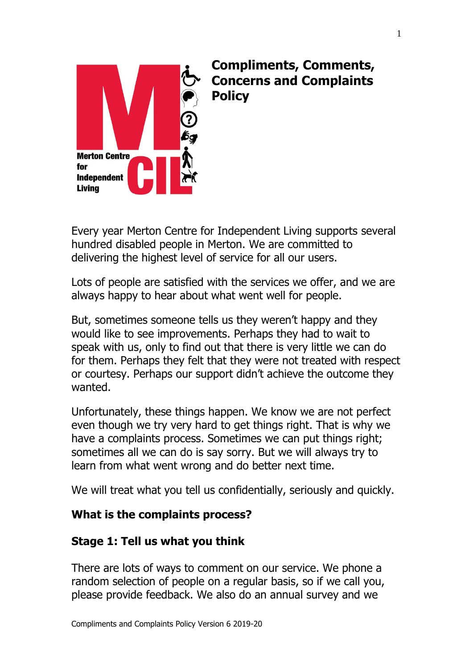

# **Compliments, Comments, Concerns and Complaints Policy**

Every year Merton Centre for Independent Living supports several hundred disabled people in Merton. We are committed to delivering the highest level of service for all our users.

Lots of people are satisfied with the services we offer, and we are always happy to hear about what went well for people.

But, sometimes someone tells us they weren't happy and they would like to see improvements. Perhaps they had to wait to speak with us, only to find out that there is very little we can do for them. Perhaps they felt that they were not treated with respect or courtesy. Perhaps our support didn't achieve the outcome they wanted.

Unfortunately, these things happen. We know we are not perfect even though we try very hard to get things right. That is why we have a complaints process. Sometimes we can put things right; sometimes all we can do is say sorry. But we will always try to learn from what went wrong and do better next time.

We will treat what you tell us confidentially, seriously and quickly.

### **What is the complaints process?**

# **Stage 1: Tell us what you think**

There are lots of ways to comment on our service. We phone a random selection of people on a regular basis, so if we call you, please provide feedback. We also do an annual survey and we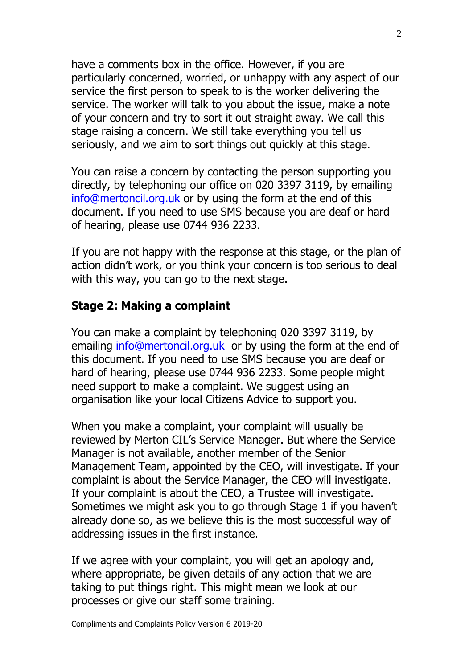have a comments box in the office. However, if you are particularly concerned, worried, or unhappy with any aspect of our service the first person to speak to is the worker delivering the service. The worker will talk to you about the issue, make a note of your concern and try to sort it out straight away. We call this stage raising a concern. We still take everything you tell us seriously, and we aim to sort things out quickly at this stage.

You can raise a concern by contacting the person supporting you directly, by telephoning our office on 020 3397 3119, by emailing [info@mertoncil.org.uk](mailto:info@mertoncil.org.uk) or by using the form at the end of this document. If you need to use SMS because you are deaf or hard of hearing, please use 0744 936 2233.

If you are not happy with the response at this stage, or the plan of action didn't work, or you think your concern is too serious to deal with this way, you can go to the next stage.

#### **Stage 2: Making a complaint**

You can make a complaint by telephoning 020 3397 3119, by emailing [info@mertoncil.org.uk](mailto:info@mertoncil.org.uk) or by using the form at the end of this document. If you need to use SMS because you are deaf or hard of hearing, please use 0744 936 2233. Some people might need support to make a complaint. We suggest using an organisation like your local Citizens Advice to support you.

When you make a complaint, your complaint will usually be reviewed by Merton CIL's Service Manager. But where the Service Manager is not available, another member of the Senior Management Team, appointed by the CEO, will investigate. If your complaint is about the Service Manager, the CEO will investigate. If your complaint is about the CEO, a Trustee will investigate. Sometimes we might ask you to go through Stage 1 if you haven't already done so, as we believe this is the most successful way of addressing issues in the first instance.

If we agree with your complaint, you will get an apology and, where appropriate, be given details of any action that we are taking to put things right. This might mean we look at our processes or give our staff some training.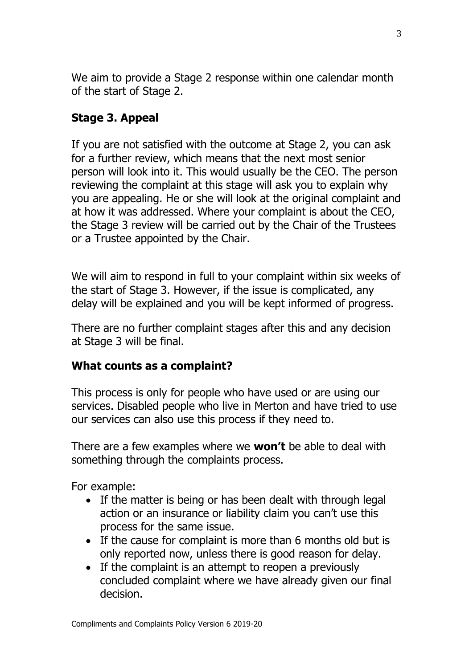We aim to provide a Stage 2 response within one calendar month of the start of Stage 2.

## **Stage 3. Appeal**

If you are not satisfied with the outcome at Stage 2, you can ask for a further review, which means that the next most senior person will look into it. This would usually be the CEO. The person reviewing the complaint at this stage will ask you to explain why you are appealing. He or she will look at the original complaint and at how it was addressed. Where your complaint is about the CEO, the Stage 3 review will be carried out by the Chair of the Trustees or a Trustee appointed by the Chair.

We will aim to respond in full to your complaint within six weeks of the start of Stage 3. However, if the issue is complicated, any delay will be explained and you will be kept informed of progress.

There are no further complaint stages after this and any decision at Stage 3 will be final.

### **What counts as a complaint?**

This process is only for people who have used or are using our services. Disabled people who live in Merton and have tried to use our services can also use this process if they need to.

There are a few examples where we **won't** be able to deal with something through the complaints process.

For example:

- If the matter is being or has been dealt with through legal action or an insurance or liability claim you can't use this process for the same issue.
- If the cause for complaint is more than 6 months old but is only reported now, unless there is good reason for delay.
- If the complaint is an attempt to reopen a previously concluded complaint where we have already given our final decision.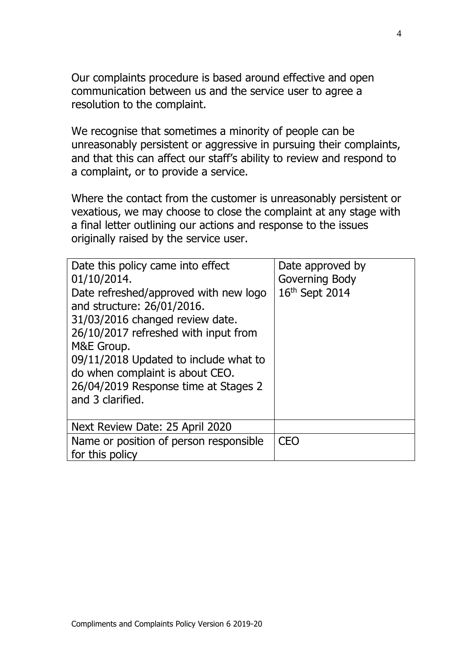Our complaints procedure is based around effective and open communication between us and the service user to agree a resolution to the complaint.

We recognise that sometimes a minority of people can be unreasonably persistent or aggressive in pursuing their complaints, and that this can affect our staff's ability to review and respond to a complaint, or to provide a service.

Where the contact from the customer is unreasonably persistent or vexatious, we may choose to close the complaint at any stage with a final letter outlining our actions and response to the issues originally raised by the service user.

| Date this policy came into effect<br>01/10/2014.<br>Date refreshed/approved with new logo<br>and structure: 26/01/2016.<br>31/03/2016 changed review date.<br>26/10/2017 refreshed with input from<br>M&E Group.<br>09/11/2018 Updated to include what to<br>do when complaint is about CEO.<br>26/04/2019 Response time at Stages 2<br>and 3 clarified. | Date approved by<br>Governing Body<br>16th Sept 2014 |
|----------------------------------------------------------------------------------------------------------------------------------------------------------------------------------------------------------------------------------------------------------------------------------------------------------------------------------------------------------|------------------------------------------------------|
| Next Review Date: 25 April 2020                                                                                                                                                                                                                                                                                                                          |                                                      |
| Name or position of person responsible<br>for this policy                                                                                                                                                                                                                                                                                                | <b>CEO</b>                                           |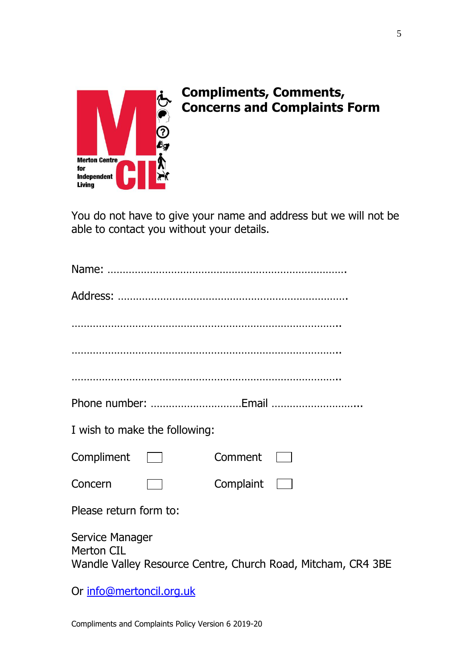

# **Compliments, Comments, Concerns and Complaints Form**

You do not have to give your name and address but we will not be able to contact you without your details.

|                                      | I wish to make the following: |                                                              |
|--------------------------------------|-------------------------------|--------------------------------------------------------------|
| $Compliment$ $\Box$                  |                               | Comment                                                      |
| Concern                              |                               | Complaint<br><b>The Contract</b>                             |
| Please return form to:               |                               |                                                              |
| Service Manager<br><b>Merton CIL</b> |                               | Wandle Valley Resource Centre, Church Road, Mitcham, CR4 3BE |
| Or info@mertoncil.org.uk             |                               |                                                              |

Compliments and Complaints Policy Version 6 2019-20